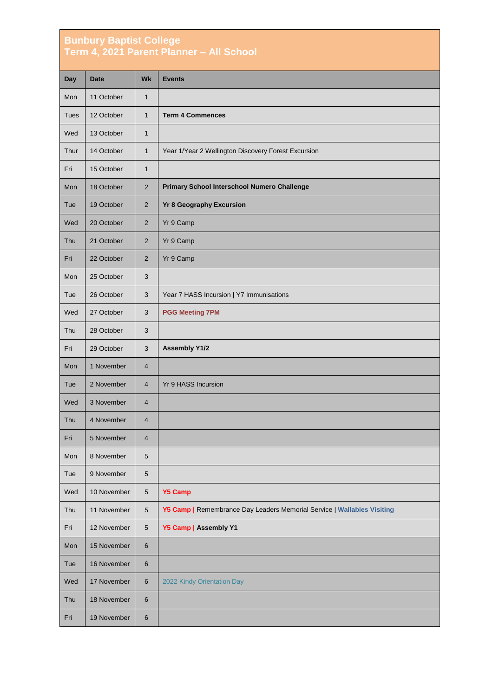## **Bunbury Baptist College Term 4, 2021 Parent Planner – All School**

| <b>Day</b>  | <b>Date</b> | <b>Wk</b>               | <b>Events</b>                                                           |
|-------------|-------------|-------------------------|-------------------------------------------------------------------------|
| Mon         | 11 October  | $\mathbf{1}$            |                                                                         |
| <b>Tues</b> | 12 October  | $\mathbf{1}$            | <b>Term 4 Commences</b>                                                 |
| Wed         | 13 October  | $\mathbf{1}$            |                                                                         |
| Thur        | 14 October  | $\mathbf{1}$            | Year 1/Year 2 Wellington Discovery Forest Excursion                     |
| Fri         | 15 October  | $\mathbf{1}$            |                                                                         |
| Mon         | 18 October  | 2                       | Primary School Interschool Numero Challenge                             |
| Tue         | 19 October  | $\overline{2}$          | <b>Yr 8 Geography Excursion</b>                                         |
| Wed         | 20 October  | 2                       | Yr 9 Camp                                                               |
| Thu         | 21 October  | $\overline{2}$          | Yr 9 Camp                                                               |
| Fri         | 22 October  | $\overline{2}$          | Yr 9 Camp                                                               |
| Mon         | 25 October  | 3                       |                                                                         |
| Tue         | 26 October  | 3                       | Year 7 HASS Incursion   Y7 Immunisations                                |
| Wed         | 27 October  | 3                       | <b>PGG Meeting 7PM</b>                                                  |
| Thu         | 28 October  | 3                       |                                                                         |
| Fri         | 29 October  | 3                       | <b>Assembly Y1/2</b>                                                    |
| Mon         | 1 November  | $\overline{4}$          |                                                                         |
| Tue         | 2 November  | $\overline{4}$          | Yr 9 HASS Incursion                                                     |
| Wed         | 3 November  | $\overline{4}$          |                                                                         |
| Thu         | 4 November  | $\overline{\mathbf{4}}$ |                                                                         |
| Fri         | 5 November  | 4                       |                                                                         |
| Mon         | 8 November  | 5                       |                                                                         |
| Tue         | 9 November  | 5                       |                                                                         |
| Wed         | 10 November | $\sqrt{5}$              | <b>Y5 Camp</b>                                                          |
| Thu         | 11 November | $\sqrt{5}$              | Y5 Camp   Remembrance Day Leaders Memorial Service   Wallabies Visiting |
| Fri         | 12 November | $5\phantom{.0}$         | Y5 Camp   Assembly Y1                                                   |
| Mon         | 15 November | $6\phantom{1}$          |                                                                         |
| Tue         | 16 November | 6                       |                                                                         |
| Wed         | 17 November | 6                       | 2022 Kindy Orientation Day                                              |
| Thu         | 18 November | $6\phantom{1}$          |                                                                         |
| Fri         | 19 November | $\,6\,$                 |                                                                         |